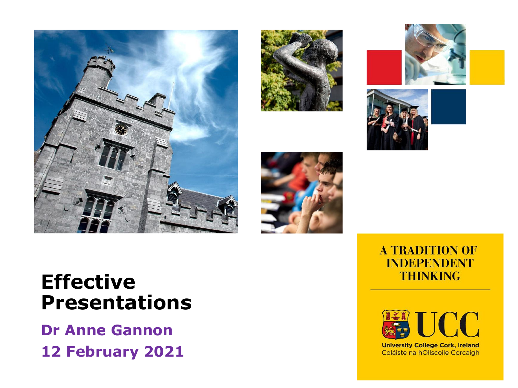









### **Effective Presentations**

**Dr Anne Gannon 12 February 2021**

#### **A TRADITION OF INDEPENDENT THINKING**



**University College Cork, Ireland** Coláiste na hOllscoile Corcaigh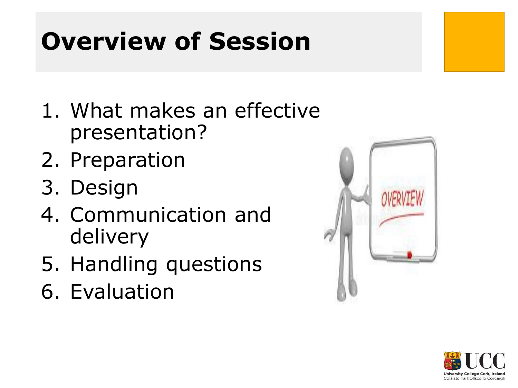### **Overview of Session**

- 1. What makes an effective presentation?
- 2. Preparation
- 3. Design
- 4. Communication and delivery
- 5. Handling questions
- 6. Evaluation



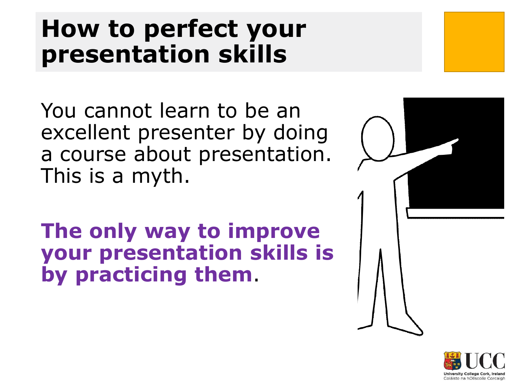### **How to perfect your presentation skills**

You cannot learn to be an excellent presenter by doing a course about presentation. This is a myth.

**The only way to improve your presentation skills is by practicing them**.



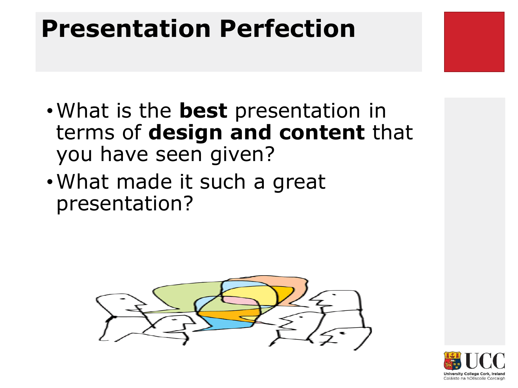### **Presentation Perfection**

- •What is the **best** presentation in terms of **design and content** that you have seen given?
- •What made it such a great presentation?



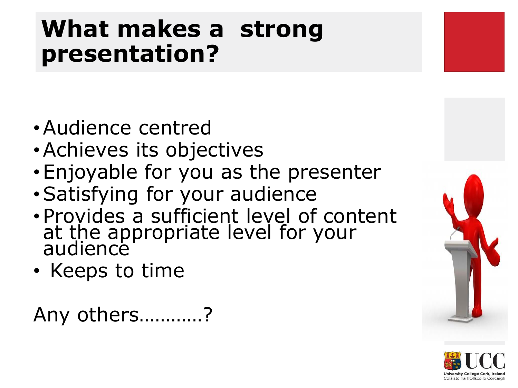### **What makes a strong presentation?**

- •Audience centred
- •Achieves its objectives
- •Enjoyable for you as the presenter
- •Satisfying for your audience
- •Provides a sufficient level of content at the appropriate level for your audience
- Keeps to time

Any others…………?



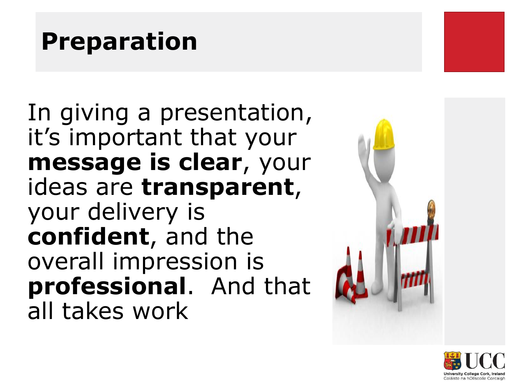### **Preparation**

In giving a presentation, it's important that your **message is clear**, your ideas are **transparent**, your delivery is **confident**, and the overall impression is **professional**. And that all takes work



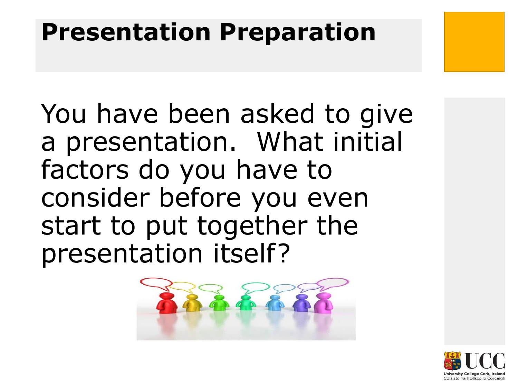### **Presentation Preparation**

You have been asked to give a presentation. What initial factors do you have to consider before you even start to put together the presentation itself?



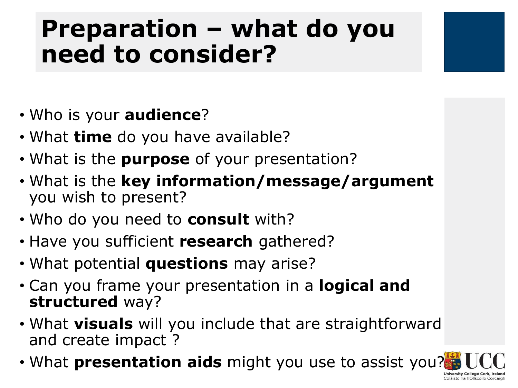### **Preparation – what do you need to consider?**

- Who is your **audience**?
- What **time** do you have available?
- What is the **purpose** of your presentation?
- What is the **key information/message/argument**  you wish to present?
- Who do you need to **consult** with?
- Have you sufficient **research** gathered?
- What potential **questions** may arise?
- Can you frame your presentation in a **logical and structured** way?
- What **visuals** will you include that are straightforward and create impact ?
- What **presentation aids** might you use to assist you?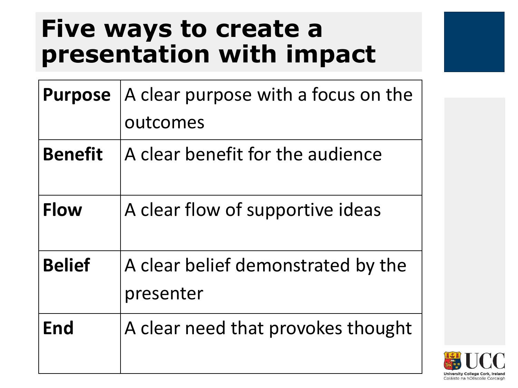### **Five ways to create a presentation with impact**

| <b>Purpose</b> | A clear purpose with a focus on the             |
|----------------|-------------------------------------------------|
|                | outcomes                                        |
| <b>Benefit</b> | A clear benefit for the audience                |
| <b>Flow</b>    | A clear flow of supportive ideas                |
| <b>Belief</b>  | A clear belief demonstrated by the<br>presenter |
| End            | A clear need that provokes thought              |

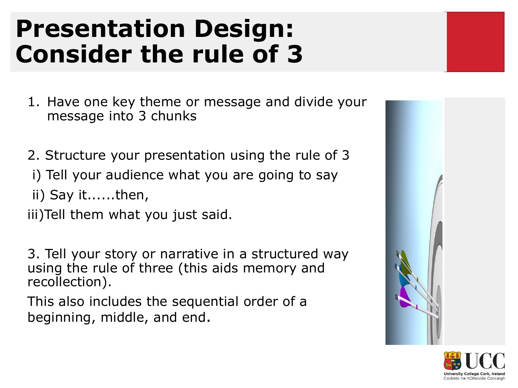### **Presentation Design: Consider the rule of 3**

- 1. Have one key theme or message and divide your message into 3 chunks
- 2. Structure your presentation using the rule of 3
- i) Tell your audience what you are going to say
- ii) Say it......then,

iii)Tell them what you just said.

3. Tell your story or narrative in a structured way using the rule of three (this aids memory and recollection).

This also includes the sequential order of a beginning, middle, and end.



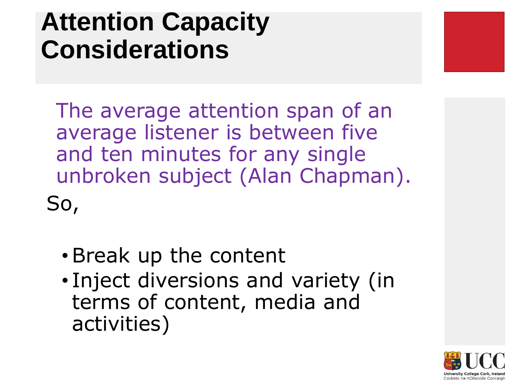### **Attention Capacity Considerations**

The average attention span of an average listener is between five and ten minutes for any single unbroken subject (Alan Chapman).

So,

- •Break up the content
- Inject diversions and variety (in terms of content, media and activities)

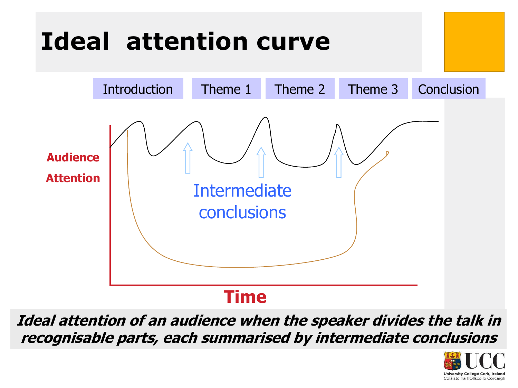

**Ideal attention of an audience when the speaker divides the talk in recognisable parts, each summarised by intermediate conclusions**

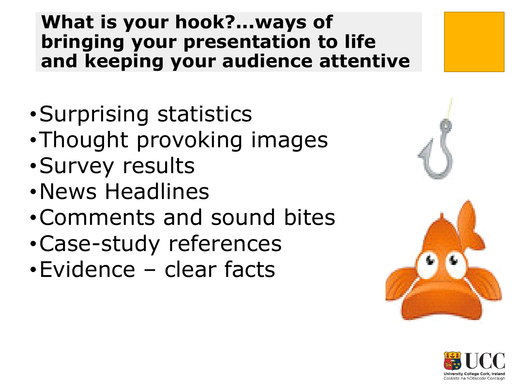#### **What is your hook?...ways of bringing your presentation to life and keeping your audience attentive**

- •Surprising statistics
- •Thought provoking images
- •Survey results
- •News Headlines
- •Comments and sound bites
- •Case-study references
- •Evidence clear facts



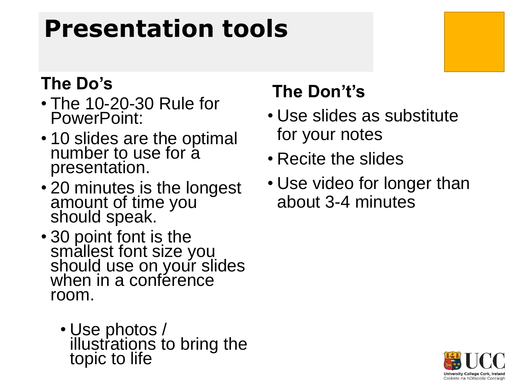### **Presentation tools**

#### **The Do's**

- The 10-20-30 Rule for PowerPoint:
- 10 slides are the optimal number to use for a presentation.
- 20 minutes is the longest amount of time you should speak.
- 30 point font is the smallest font size you should use on your slides when in a conférence room.
	- Use photos / illustrations to bring the topic to life

#### **The Don't's**

- Use slides as substitute for your notes
- Recite the slides
- Use video for longer than about 3-4 minutes

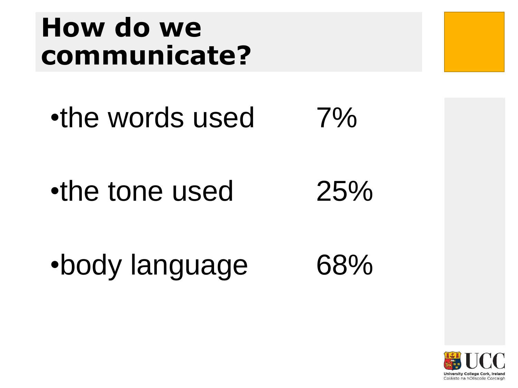### **How do we communicate?**

•the words used 7%

•the tone used 25%

•body language 68%

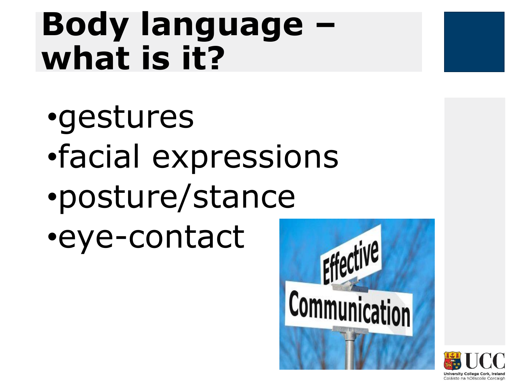## **Body language – what is it?**

- •gestures
- •facial expressions
- •posture/stance
- •eye-contact



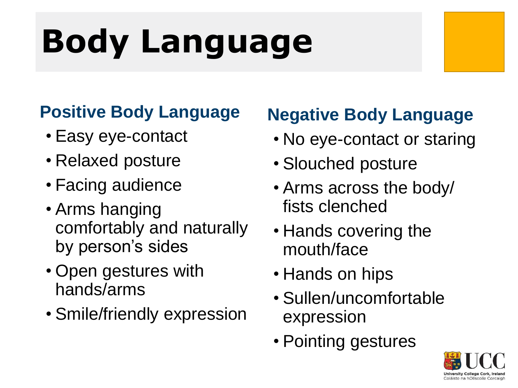# **Body Language**

#### **Positive Body Language**

- Easy eye-contact
- Relaxed posture
- Facing audience
- Arms hanging comfortably and naturally by person's sides
- Open gestures with hands/arms
- Smile/friendly expression

### **Negative Body Language**

- No eye-contact or staring
- Slouched posture
- Arms across the body/ fists clenched
- Hands covering the mouth/face
- Hands on hips
- Sullen/uncomfortable expression
- Pointing gestures

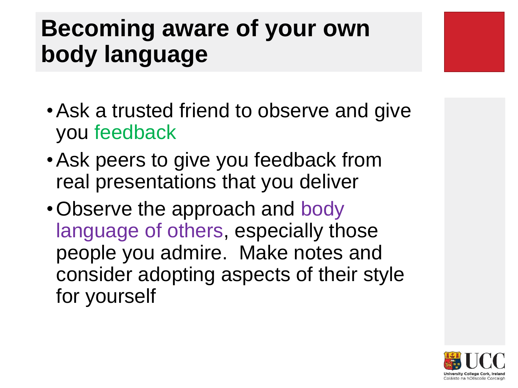### **Becoming aware of your own body language**

- •Ask a trusted friend to observe and give you feedback
- •Ask peers to give you feedback from real presentations that you deliver
- •Observe the approach and body language of others, especially those people you admire. Make notes and consider adopting aspects of their style for yourself

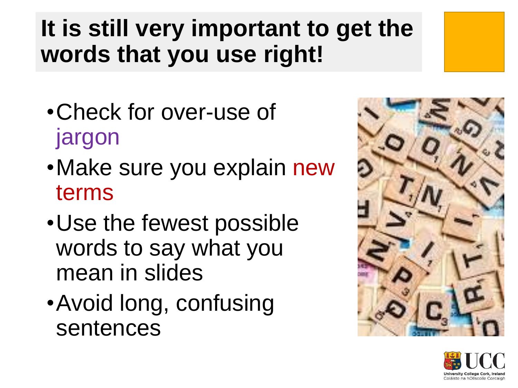### **It is still very important to get the words that you use right!**

- •Check for over-use of jargon
- •Make sure you explain new terms
- •Use the fewest possible words to say what you mean in slides
- •Avoid long, confusing sentences



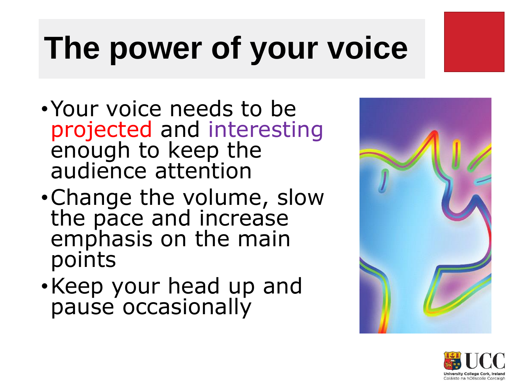## **The power of your voice**

- •Your voice needs to be projected and interesting enough to keep the audience attention
- •Change the volume, slow the pace and increase emphasis on the main points
- •Keep your head up and pause occasionally



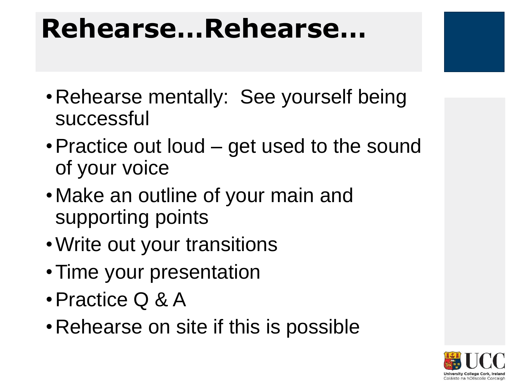### **Rehearse…Rehearse…**

- Rehearse mentally: See yourself being successful
- Practice out loud get used to the sound of your voice
- •Make an outline of your main and supporting points
- •Write out your transitions
- Time your presentation
- •Practice Q & A
- •Rehearse on site if this is possible

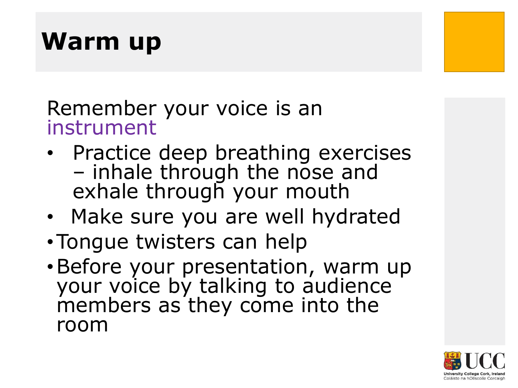### **Warm up**

#### Remember your voice is an instrument

- Practice deep breathing exercises – inhale through the nose and exhale through your mouth
- Make sure you are well hydrated
- •Tongue twisters can help
- •Before your presentation, warm up your voice by talking to audience members as they come into the room

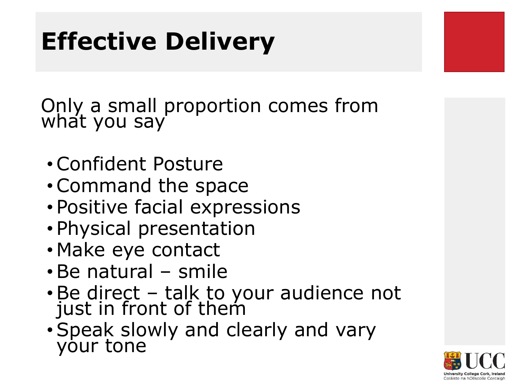### **Effective Delivery**

Only a small proportion comes from what you say

- •Confident Posture
- •Command the space
- Positive facial expressions
- Physical presentation
- Make eye contact
- •Be natural smile
- •Be direct talk to your audience not just in front of them
- •Speak slowly and clearly and vary your tone

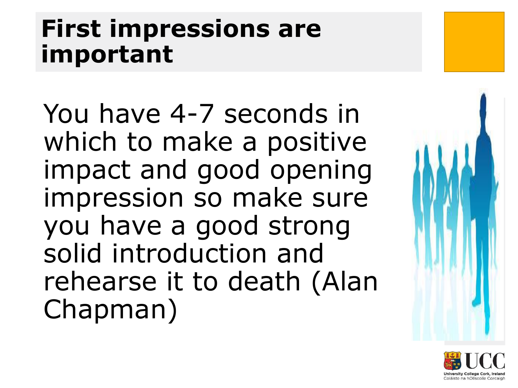### **First impressions are important**

You have 4-7 seconds in which to make a positive impact and good opening impression so make sure you have a good strong solid introduction and rehearse it to death (Alan Chapman)



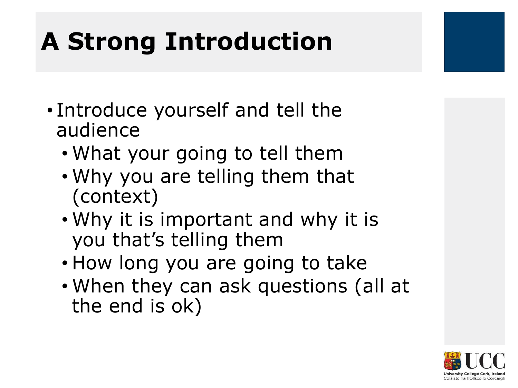### **A Strong Introduction**

- Introduce yourself and tell the audience
	- What your going to tell them
	- Why you are telling them that (context)
	- Why it is important and why it is you that's telling them
	- How long you are going to take
	- When they can ask questions (all at the end is ok)

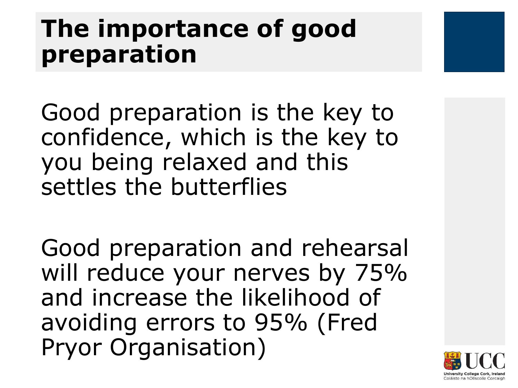### **The importance of good preparation**

Good preparation is the key to confidence, which is the key to you being relaxed and this settles the butterflies

Good preparation and rehearsal will reduce your nerves by 75% and increase the likelihood of avoiding errors to 95% (Fred Pryor Organisation)

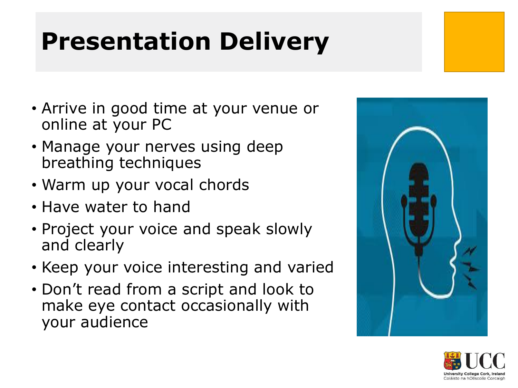### **Presentation Delivery**

- Arrive in good time at your venue or online at your PC
- Manage your nerves using deep breathing techniques
- Warm up your vocal chords
- Have water to hand
- Project your voice and speak slowly and clearly
- Keep your voice interesting and varied
- Don't read from a script and look to make eye contact occasionally with your audience



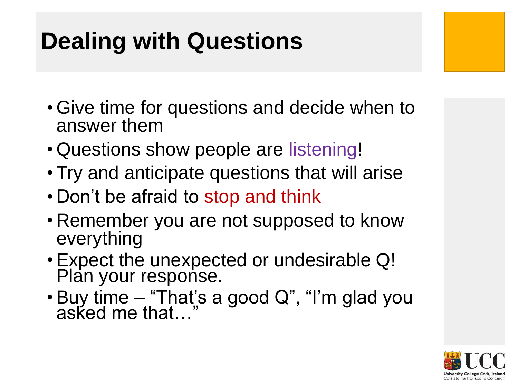### **Dealing with Questions**

- Give time for questions and decide when to answer them
- Questions show people are listening!
- Try and anticipate questions that will arise
- Don't be afraid to stop and think
- Remember you are not supposed to know everything
- •Expect the unexpected or undesirable Q! Plan your response.
- Buy time "That's a good Q", "I'm glad you asked me that…"

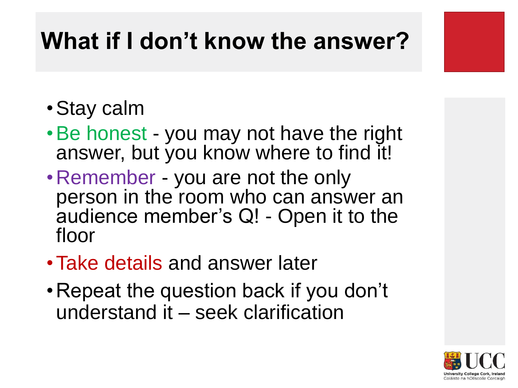### **What if I don't know the answer?**

- •Stay calm
- •Be honest you may not have the right answer, but you know where to find it!
- •Remember you are not the only person in the room who can answer an audience member's Q! - Open it to the floor
- •Take details and answer later
- •Repeat the question back if you don't understand it – seek clarification

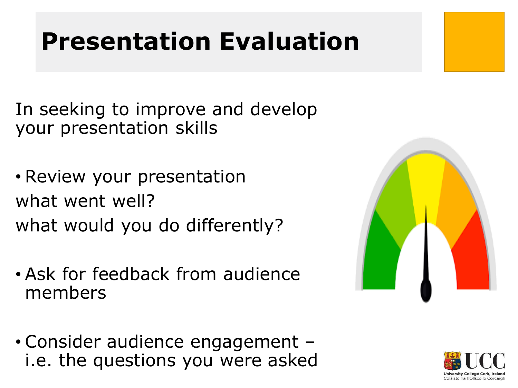### **Presentation Evaluation**

In seeking to improve and develop your presentation skills

- Review your presentation what went well? what would you do differently?
- Ask for feedback from audience members
- Consider audience engagement i.e. the questions you were asked



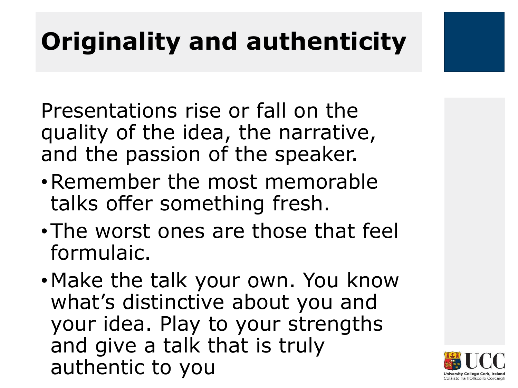## **Originality and authenticity**

Presentations rise or fall on the quality of the idea, the narrative, and the passion of the speaker.

- •Remember the most memorable talks offer something fresh.
- •The worst ones are those that feel formulaic.
- •Make the talk your own. You know what's distinctive about you and your idea. Play to your strengths and give a talk that is truly authentic to you

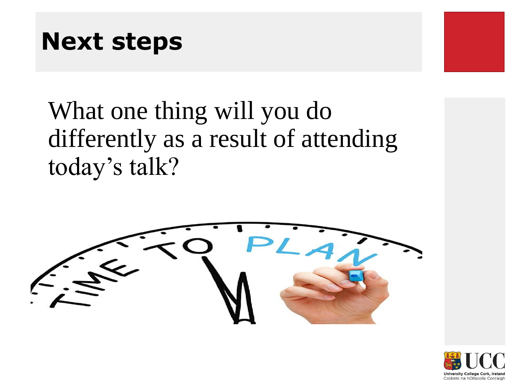### **Next steps**

What one thing will you do differently as a result of attending today's talk?